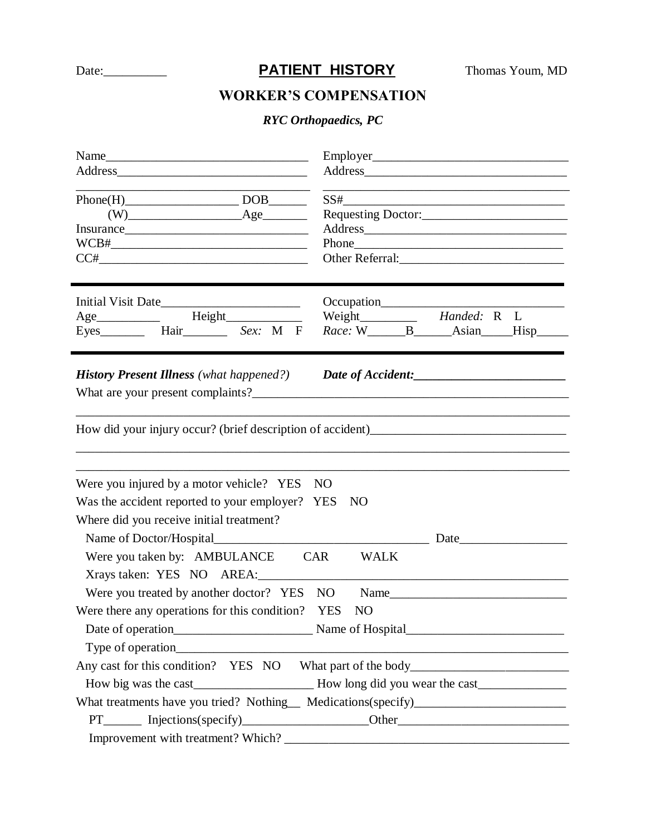## Date:\_\_\_\_\_\_\_\_\_\_**PATIENT HISTORY** Thomas Youm, MD

## **WORKER'S COMPENSATION**

## *RYC Orthopaedics, PC*

| $Phone(H)$ DOB<br>$(W)$ $\qquad \qquad \text{Age}$<br>Insurance                               |                                            | $SS# \_\_\_\_\_\_\_ \$ |                                                                                                                                                                       |  |  |                                                                                      |  |  |  |  |  |
|-----------------------------------------------------------------------------------------------|--------------------------------------------|------------------------|-----------------------------------------------------------------------------------------------------------------------------------------------------------------------|--|--|--------------------------------------------------------------------------------------|--|--|--|--|--|
|                                                                                               |                                            |                        |                                                                                                                                                                       |  |  | $CC# \begin{tabular}{@{}c@{}} \hline \multicolumn{3}{c}{\textbf{CC#}} \end{tabular}$ |  |  |  |  |  |
|                                                                                               |                                            |                        |                                                                                                                                                                       |  |  |                                                                                      |  |  |  |  |  |
|                                                                                               |                                            |                        |                                                                                                                                                                       |  |  | Age______________  Height_______________                                             |  |  |  |  |  |
|                                                                                               |                                            |                        |                                                                                                                                                                       |  |  |                                                                                      |  |  |  |  |  |
| <b>History Present Illness</b> (what happened?)                                               |                                            |                        | Date of Accident:                                                                                                                                                     |  |  |                                                                                      |  |  |  |  |  |
|                                                                                               |                                            |                        |                                                                                                                                                                       |  |  |                                                                                      |  |  |  |  |  |
|                                                                                               |                                            |                        |                                                                                                                                                                       |  |  |                                                                                      |  |  |  |  |  |
|                                                                                               |                                            |                        |                                                                                                                                                                       |  |  |                                                                                      |  |  |  |  |  |
|                                                                                               |                                            |                        |                                                                                                                                                                       |  |  |                                                                                      |  |  |  |  |  |
| Were you injured by a motor vehicle? YES NO                                                   |                                            |                        |                                                                                                                                                                       |  |  |                                                                                      |  |  |  |  |  |
|                                                                                               |                                            |                        |                                                                                                                                                                       |  |  |                                                                                      |  |  |  |  |  |
| Was the accident reported to your employer? YES                                               |                                            | NO                     |                                                                                                                                                                       |  |  |                                                                                      |  |  |  |  |  |
|                                                                                               |                                            |                        |                                                                                                                                                                       |  |  |                                                                                      |  |  |  |  |  |
|                                                                                               |                                            |                        | Date                                                                                                                                                                  |  |  |                                                                                      |  |  |  |  |  |
|                                                                                               | Were you taken by: AMBULANCE CAR           | <b>WALK</b>            |                                                                                                                                                                       |  |  |                                                                                      |  |  |  |  |  |
|                                                                                               |                                            |                        |                                                                                                                                                                       |  |  |                                                                                      |  |  |  |  |  |
|                                                                                               | Were you treated by another doctor? YES NO |                        |                                                                                                                                                                       |  |  |                                                                                      |  |  |  |  |  |
|                                                                                               |                                            | N <sub>O</sub>         |                                                                                                                                                                       |  |  |                                                                                      |  |  |  |  |  |
|                                                                                               |                                            |                        |                                                                                                                                                                       |  |  |                                                                                      |  |  |  |  |  |
|                                                                                               | Type of operation                          |                        |                                                                                                                                                                       |  |  |                                                                                      |  |  |  |  |  |
|                                                                                               |                                            |                        |                                                                                                                                                                       |  |  |                                                                                      |  |  |  |  |  |
|                                                                                               |                                            |                        | Any cast for this condition? YES NO What part of the body                                                                                                             |  |  |                                                                                      |  |  |  |  |  |
| Where did you receive initial treatment?<br>Were there any operations for this condition? YES |                                            |                        |                                                                                                                                                                       |  |  |                                                                                      |  |  |  |  |  |
|                                                                                               |                                            |                        | What treatments have you tried? Nothing_ Medications(specify)____________________<br>PT________ Injections(specify)___________________Other__________________________ |  |  |                                                                                      |  |  |  |  |  |